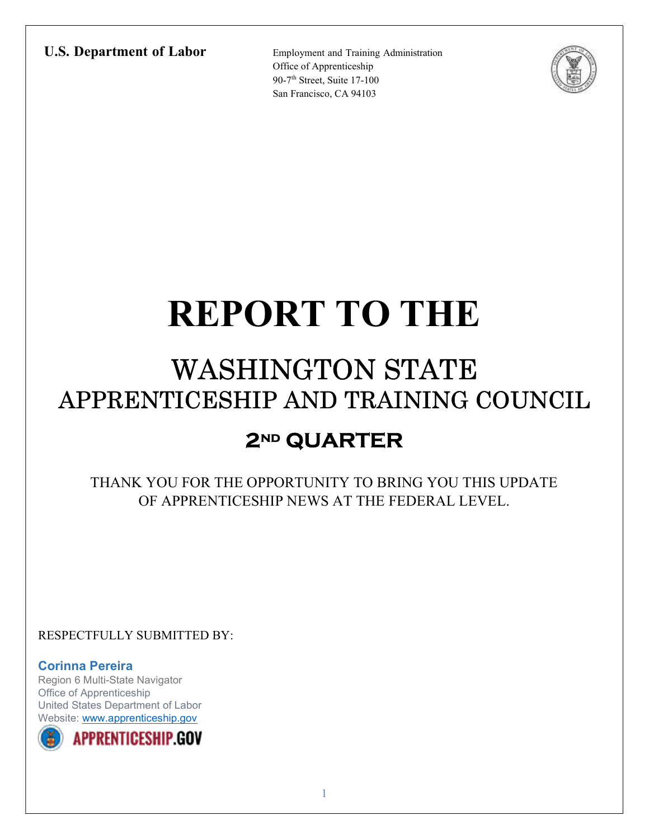#### U.S. Department of Labor Employment and Training Administration

Office of Apprenticeship 90-7<sup>th</sup> Street, Suite 17-100 San Francisco, CA 94103



# REPORT TO THE

# WASHINGTON STATE APPRENTICESHIP AND TRAINING COUNCIL

### 2<sup>ND</sup> QUARTER

THANK YOU FOR THE OPPORTUNITY TO BRING YOU THIS UPDATE OF APPRENTICESHIP NEWS AT THE FEDERAL LEVEL.

RESPECTFULLY SUBMITTED BY:

Corinna Pereira Region 6 Multi-State Navigator Office of Apprenticeship United States Department of Labor Website: www.apprenticeship.gov

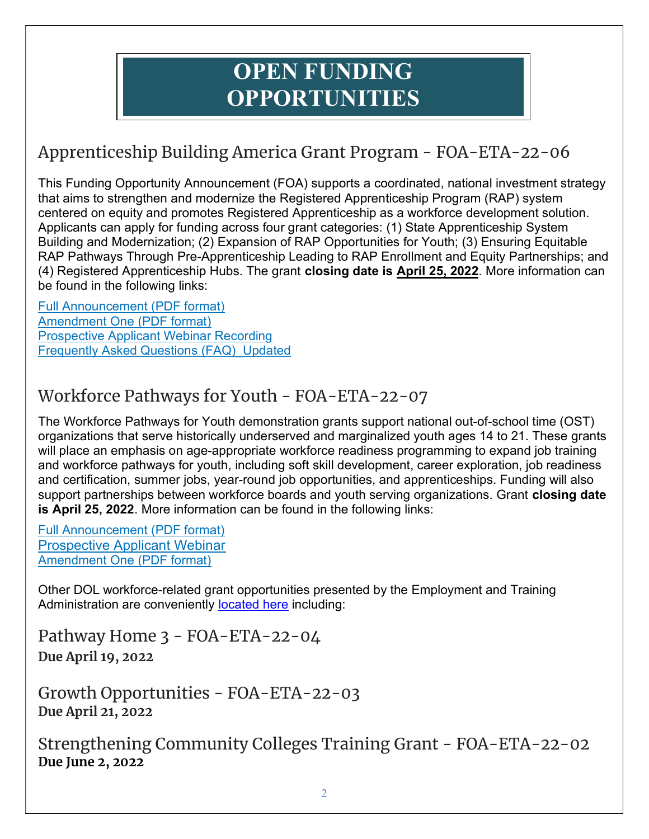### OPEN FUNDING OPPORTUNITIES

### Apprenticeship Building America Grant Program - FOA-ETA-22-06

This Funding Opportunity Announcement (FOA) supports a coordinated, national investment strategy that aims to strengthen and modernize the Registered Apprenticeship Program (RAP) system centered on equity and promotes Registered Apprenticeship as a workforce development solution. Applicants can apply for funding across four grant categories: (1) State Apprenticeship System Building and Modernization; (2) Expansion of RAP Opportunities for Youth; (3) Ensuring Equitable RAP Pathways Through Pre-Apprenticeship Leading to RAP Enrollment and Equity Partnerships; and (4) Registered Apprenticeship Hubs. The grant closing date is April 25, 2022. More information can be found in the following links:

Full Announcement (PDF format) Amendment One (PDF format) Prospective Applicant Webinar Recording Frequently Asked Questions (FAQ)\_Updated

#### Workforce Pathways for Youth - FOA-ETA-22-07

The Workforce Pathways for Youth demonstration grants support national out-of-school time (OST) organizations that serve historically underserved and marginalized youth ages 14 to 21. These grants will place an emphasis on age-appropriate workforce readiness programming to expand job training and workforce pathways for youth, including soft skill development, career exploration, job readiness and certification, summer jobs, year-round job opportunities, and apprenticeships. Funding will also support partnerships between workforce boards and youth serving organizations. Grant closing date is April 25, 2022. More information can be found in the following links:

Full Announcement (PDF format) Prospective Applicant Webinar Amendment One (PDF format)

Other DOL workforce-related grant opportunities presented by the Employment and Training Administration are conveniently **located here** including:

Pathway Home 3 - FOA-ETA-22-04 Due April 19, 2022

Growth Opportunities - FOA-ETA-22-03 Due April 21, 2022

Strengthening Community Colleges Training Grant - FOA-ETA-22-02 Due June 2, 2022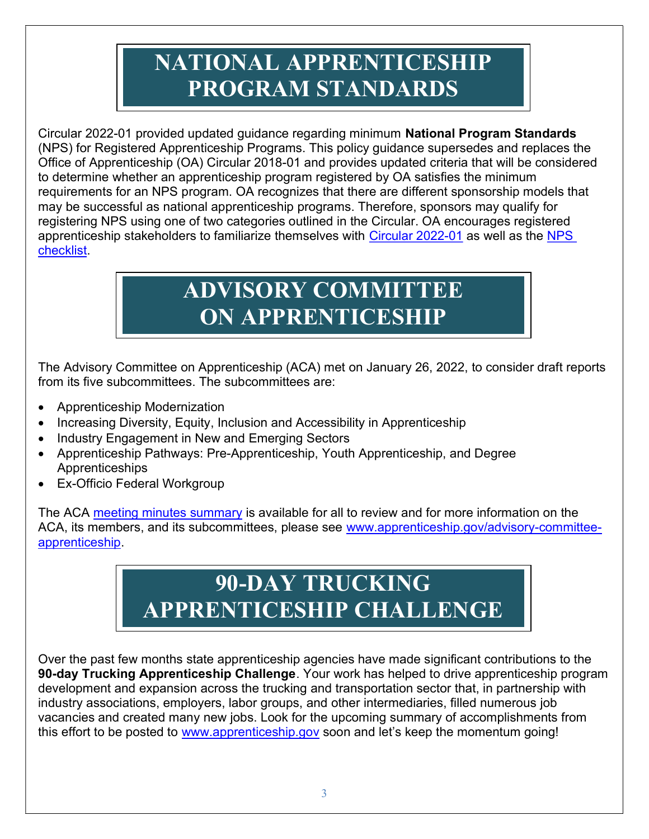# NATIONAL APPRENTICESHIP PROGRAM STANDARDS

Circular 2022-01 provided updated guidance regarding minimum National Program Standards (NPS) for Registered Apprenticeship Programs. This policy guidance supersedes and replaces the Office of Apprenticeship (OA) Circular 2018-01 and provides updated criteria that will be considered to determine whether an apprenticeship program registered by OA satisfies the minimum requirements for an NPS program. OA recognizes that there are different sponsorship models that may be successful as national apprenticeship programs. Therefore, sponsors may qualify for registering NPS using one of two categories outlined in the Circular. OA encourages registered apprenticeship stakeholders to familiarize themselves with Circular 2022-01 as well as the NPS checklist.

## ADVISORY COMMITTEE ON APPRENTICESHIP

The Advisory Committee on Apprenticeship (ACA) met on January 26, 2022, to consider draft reports from its five subcommittees. The subcommittees are:

- Apprenticeship Modernization
- Increasing Diversity, Equity, Inclusion and Accessibility in Apprenticeship
- Industry Engagement in New and Emerging Sectors
- Apprenticeship Pathways: Pre-Apprenticeship, Youth Apprenticeship, and Degree Apprenticeships
- Ex-Officio Federal Workgroup

The ACA meeting minutes summary is available for all to review and for more information on the ACA, its members, and its subcommittees, please see www.apprenticeship.gov/advisory-committeeapprenticeship.

### 90-DAY TRUCKING APPRENTICESHIP CHALLENGE

Over the past few months state apprenticeship agencies have made significant contributions to the 90-day Trucking Apprenticeship Challenge. Your work has helped to drive apprenticeship program development and expansion across the trucking and transportation sector that, in partnership with industry associations, employers, labor groups, and other intermediaries, filled numerous job vacancies and created many new jobs. Look for the upcoming summary of accomplishments from this effort to be posted to www.apprenticeship.gov soon and let's keep the momentum going!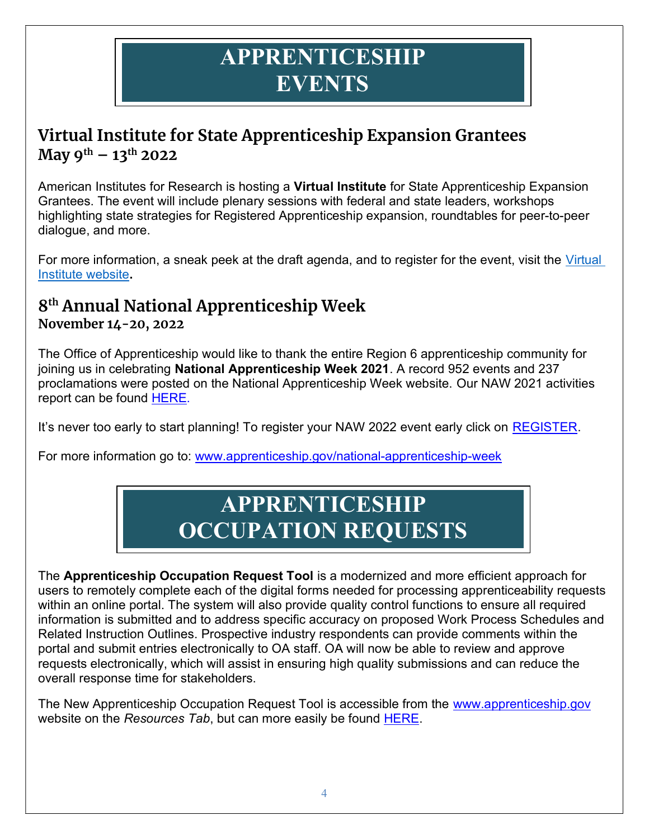### APPRENTICESHIP **EVENTS**

#### Virtual Institute for State Apprenticeship Expansion Grantees May  $9^{th}$  – 13<sup>th</sup> 2022

American Institutes for Research is hosting a Virtual Institute for State Apprenticeship Expansion Grantees. The event will include plenary sessions with federal and state leaders, workshops highlighting state strategies for Registered Apprenticeship expansion, roundtables for peer-to-peer dialogue, and more.

For more information, a sneak peek at the draft agenda, and to register for the event, visit the Virtual Institute website.

#### 8 th Annual National Apprenticeship Week

#### November 14-20, 2022

The Office of Apprenticeship would like to thank the entire Region 6 apprenticeship community for joining us in celebrating National Apprenticeship Week 2021. A record 952 events and 237 proclamations were posted on the National Apprenticeship Week website. Our NAW 2021 activities report can be found HERE.

It's never too early to start planning! To register your NAW 2022 event early click on REGISTER.

For more information go to: www.apprenticeship.gov/national-apprenticeship-week

## APPRENTICESHIP OCCUPATION REQUESTS

The Apprenticeship Occupation Request Tool is a modernized and more efficient approach for users to remotely complete each of the digital forms needed for processing apprenticeability requests within an online portal. The system will also provide quality control functions to ensure all required information is submitted and to address specific accuracy on proposed Work Process Schedules and Related Instruction Outlines. Prospective industry respondents can provide comments within the portal and submit entries electronically to OA staff. OA will now be able to review and approve requests electronically, which will assist in ensuring high quality submissions and can reduce the overall response time for stakeholders.

The New Apprenticeship Occupation Request Tool is accessible from the www.apprenticeship.gov website on the Resources Tab, but can more easily be found HERE.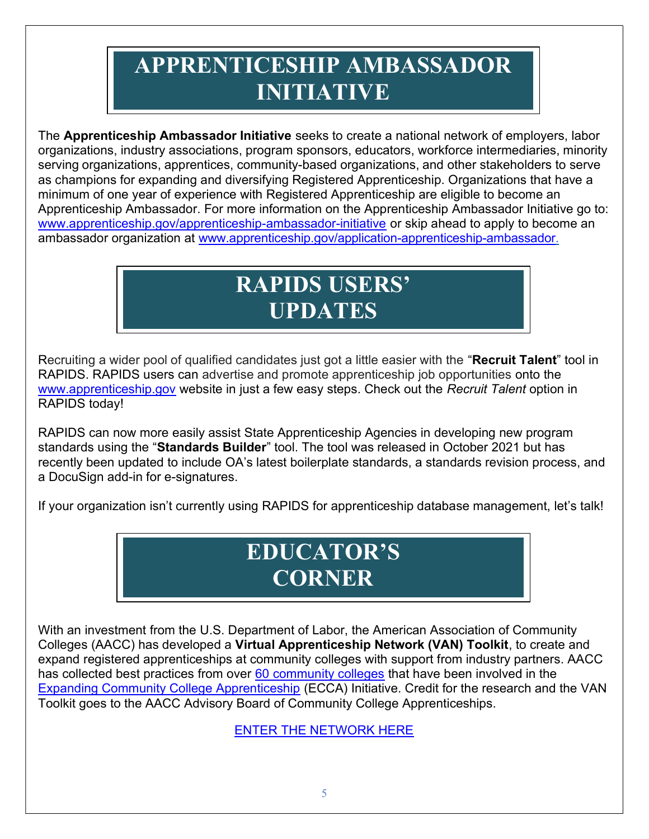# APPRENTICESHIP AMBASSADOR INITIATIVE

The Apprenticeship Ambassador Initiative seeks to create a national network of employers, labor organizations, industry associations, program sponsors, educators, workforce intermediaries, minority serving organizations, apprentices, community-based organizations, and other stakeholders to serve as champions for expanding and diversifying Registered Apprenticeship. Organizations that have a minimum of one year of experience with Registered Apprenticeship are eligible to become an Apprenticeship Ambassador. For more information on the Apprenticeship Ambassador Initiative go to: www.apprenticeship.gov/apprenticeship-ambassador-initiative or skip ahead to apply to become an ambassador organization at www.apprenticeship.gov/application-apprenticeship-ambassador.

## RAPIDS USERS' UPDATES

Recruiting a wider pool of qualified candidates just got a little easier with the "Recruit Talent" tool in RAPIDS. RAPIDS users can advertise and promote apprenticeship job opportunities onto the www.apprenticeship.gov website in just a few easy steps. Check out the Recruit Talent option in RAPIDS today!

RAPIDS can now more easily assist State Apprenticeship Agencies in developing new program standards using the "Standards Builder" tool. The tool was released in October 2021 but has recently been updated to include OA's latest boilerplate standards, a standards revision process, and a DocuSign add-in for e-signatures.

If your organization isn't currently using RAPIDS for apprenticeship database management, let's talk!

### EDUCATOR'S **CORNER**

With an investment from the U.S. Department of Labor, the American Association of Community Colleges (AACC) has developed a Virtual Apprenticeship Network (VAN) Toolkit, to create and expand registered apprenticeships at community colleges with support from industry partners. AACC has collected best practices from over 60 community colleges that have been involved in the Expanding Community College Apprenticeship (ECCA) Initiative. Credit for the research and the VAN Toolkit goes to the AACC Advisory Board of Community College Apprenticeships.

ENTER THE NETWORK HERE